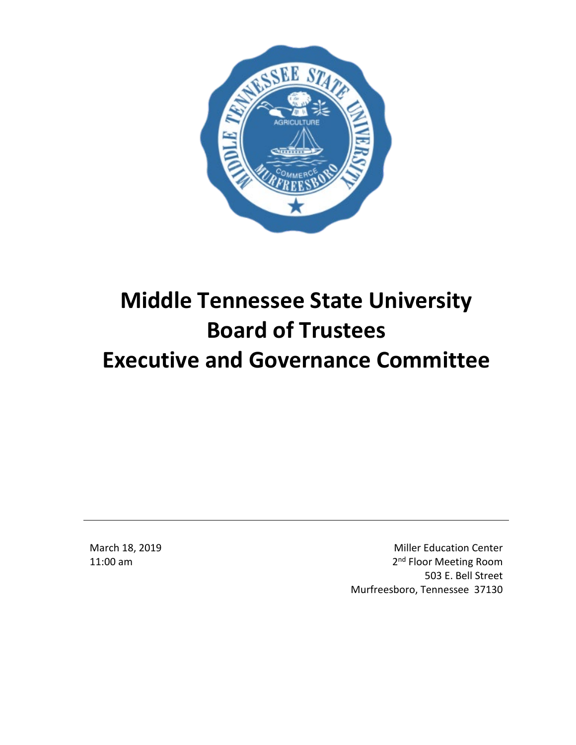

# **Middle Tennessee State University Board of Trustees Executive and Governance Committee**

March 18, 2019 11:00 am

Miller Education Center 2<sup>nd</sup> Floor Meeting Room 503 E. Bell Street Murfreesboro, Tennessee 37130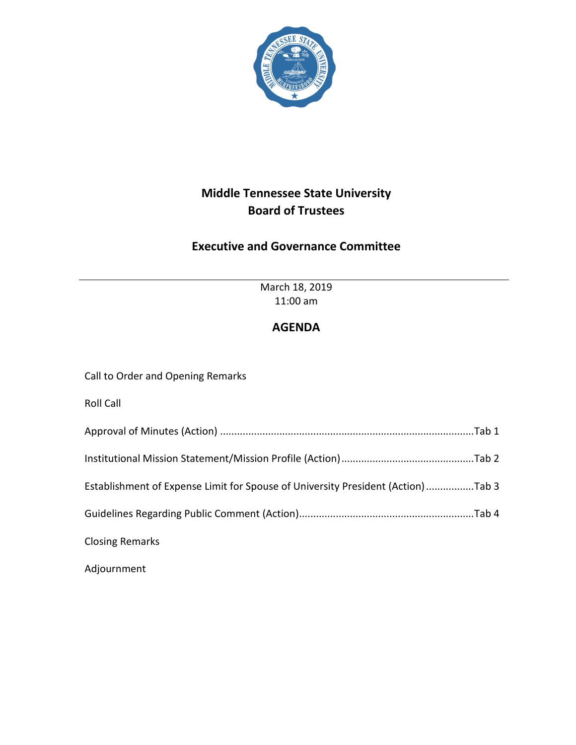

# **Executive and Governance Committee**

March 18, 2019 11:00 am

# **AGENDA**

Call to Order and Opening Remarks

Roll Call

| Establishment of Expense Limit for Spouse of University President (Action) Tab 3 |  |
|----------------------------------------------------------------------------------|--|
|                                                                                  |  |
| <b>Closing Remarks</b>                                                           |  |

Adjournment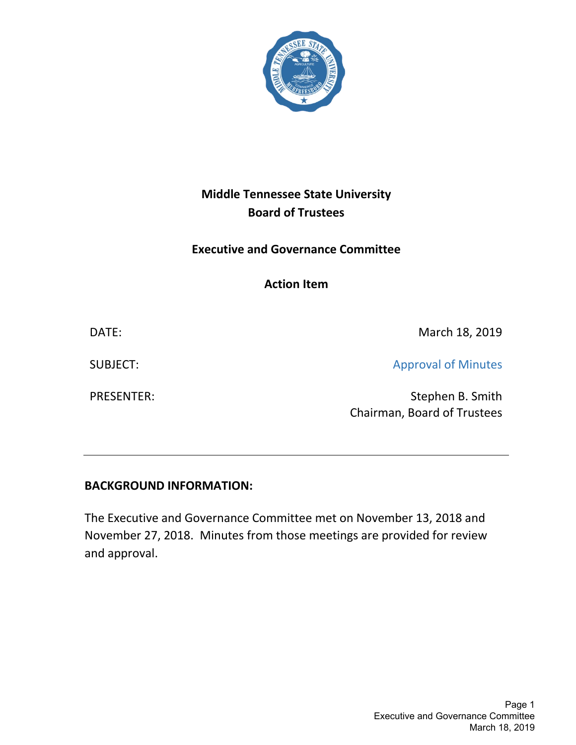

### **Executive and Governance Committee**

## **Action Item**

DATE: March 18, 2019

SUBJECT: Approval of Minutes

PRESENTER: Stephen B. Smith Chairman, Board of Trustees

## **BACKGROUND INFORMATION:**

The Executive and Governance Committee met on November 13, 2018 and November 27, 2018. Minutes from those meetings are provided for review and approval.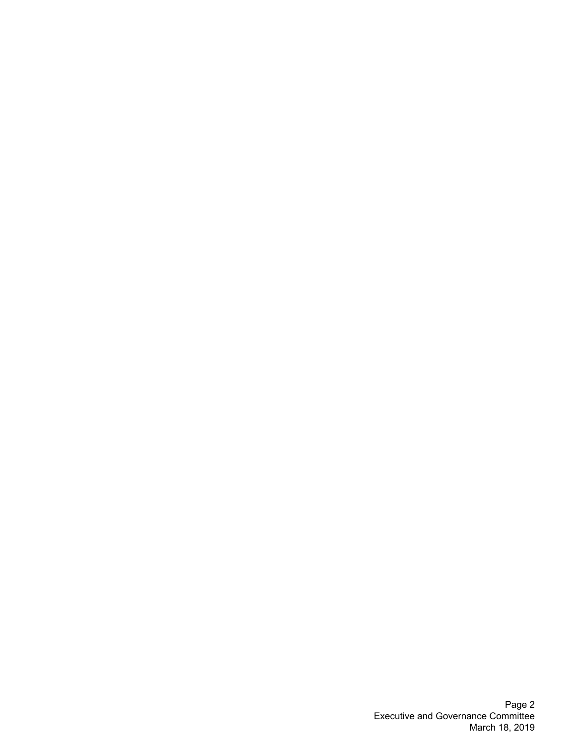Page 2 Executive and Governance Committee March 18, 2019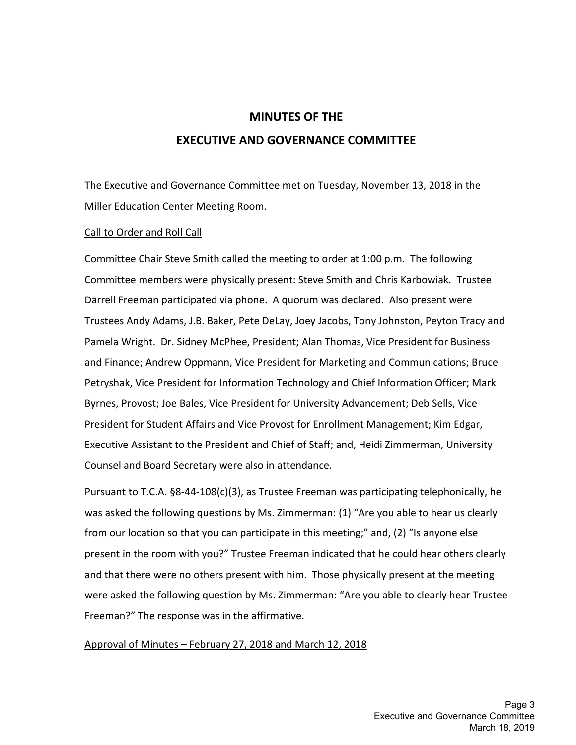# **MINUTES OF THE EXECUTIVE AND GOVERNANCE COMMITTEE**

The Executive and Governance Committee met on Tuesday, November 13, 2018 in the Miller Education Center Meeting Room.

#### Call to Order and Roll Call

Committee Chair Steve Smith called the meeting to order at 1:00 p.m. The following Committee members were physically present: Steve Smith and Chris Karbowiak. Trustee Darrell Freeman participated via phone. A quorum was declared. Also present were Trustees Andy Adams, J.B. Baker, Pete DeLay, Joey Jacobs, Tony Johnston, Peyton Tracy and Pamela Wright. Dr. Sidney McPhee, President; Alan Thomas, Vice President for Business and Finance; Andrew Oppmann, Vice President for Marketing and Communications; Bruce Petryshak, Vice President for Information Technology and Chief Information Officer; Mark Byrnes, Provost; Joe Bales, Vice President for University Advancement; Deb Sells, Vice President for Student Affairs and Vice Provost for Enrollment Management; Kim Edgar, Executive Assistant to the President and Chief of Staff; and, Heidi Zimmerman, University Counsel and Board Secretary were also in attendance.

Pursuant to T.C.A. §8-44-108(c)(3), as Trustee Freeman was participating telephonically, he was asked the following questions by Ms. Zimmerman: (1) "Are you able to hear us clearly from our location so that you can participate in this meeting;" and, (2) "Is anyone else present in the room with you?" Trustee Freeman indicated that he could hear others clearly and that there were no others present with him. Those physically present at the meeting were asked the following question by Ms. Zimmerman: "Are you able to clearly hear Trustee Freeman?" The response was in the affirmative.

#### Approval of Minutes – February 27, 2018 and March 12, 2018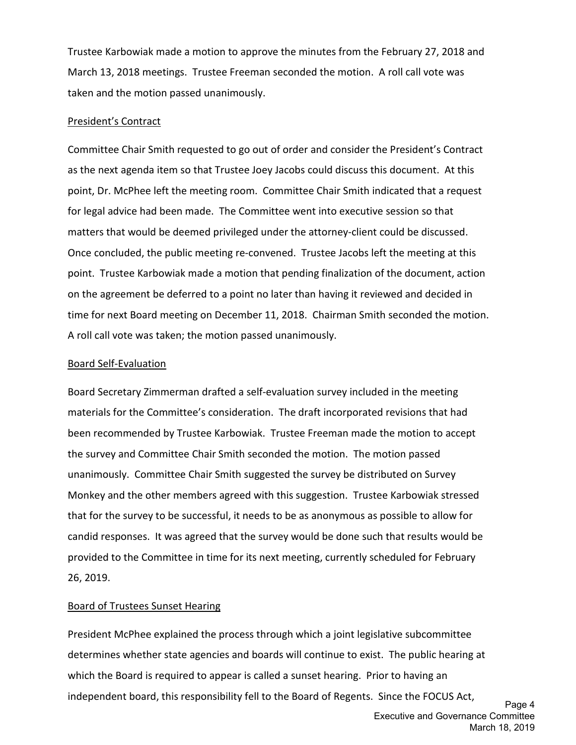Trustee Karbowiak made a motion to approve the minutes from the February 27, 2018 and March 13, 2018 meetings. Trustee Freeman seconded the motion. A roll call vote was taken and the motion passed unanimously.

#### President's Contract

Committee Chair Smith requested to go out of order and consider the President's Contract as the next agenda item so that Trustee Joey Jacobs could discuss this document. At this point, Dr. McPhee left the meeting room. Committee Chair Smith indicated that a request for legal advice had been made. The Committee went into executive session so that matters that would be deemed privileged under the attorney-client could be discussed. Once concluded, the public meeting re-convened. Trustee Jacobs left the meeting at this point. Trustee Karbowiak made a motion that pending finalization of the document, action on the agreement be deferred to a point no later than having it reviewed and decided in time for next Board meeting on December 11, 2018. Chairman Smith seconded the motion. A roll call vote was taken; the motion passed unanimously.

#### Board Self-Evaluation

Board Secretary Zimmerman drafted a self-evaluation survey included in the meeting materials for the Committee's consideration. The draft incorporated revisions that had been recommended by Trustee Karbowiak. Trustee Freeman made the motion to accept the survey and Committee Chair Smith seconded the motion. The motion passed unanimously. Committee Chair Smith suggested the survey be distributed on Survey Monkey and the other members agreed with this suggestion. Trustee Karbowiak stressed that for the survey to be successful, it needs to be as anonymous as possible to allow for candid responses. It was agreed that the survey would be done such that results would be provided to the Committee in time for its next meeting, currently scheduled for February 26, 2019.

#### Board of Trustees Sunset Hearing

President McPhee explained the process through which a joint legislative subcommittee determines whether state agencies and boards will continue to exist. The public hearing at which the Board is required to appear is called a sunset hearing. Prior to having an independent board, this responsibility fell to the Board of Regents. Since the FOCUS Act,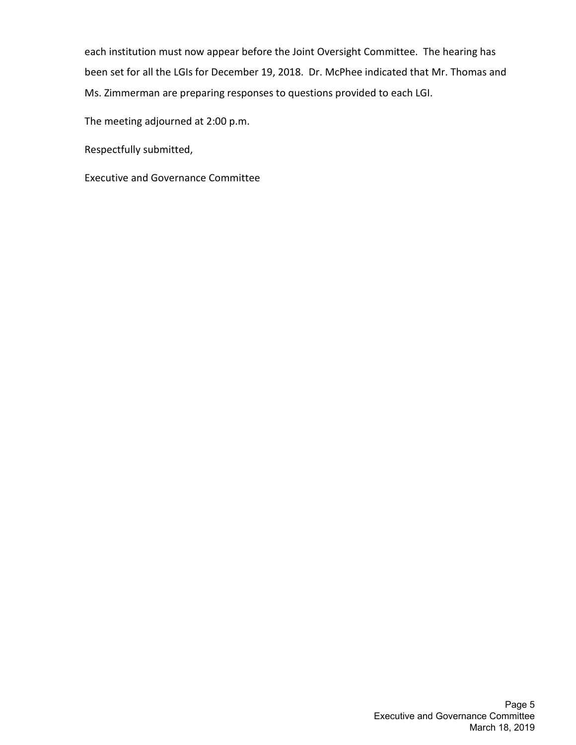each institution must now appear before the Joint Oversight Committee. The hearing has been set for all the LGIs for December 19, 2018. Dr. McPhee indicated that Mr. Thomas and Ms. Zimmerman are preparing responses to questions provided to each LGI.

The meeting adjourned at 2:00 p.m.

Respectfully submitted,

Executive and Governance Committee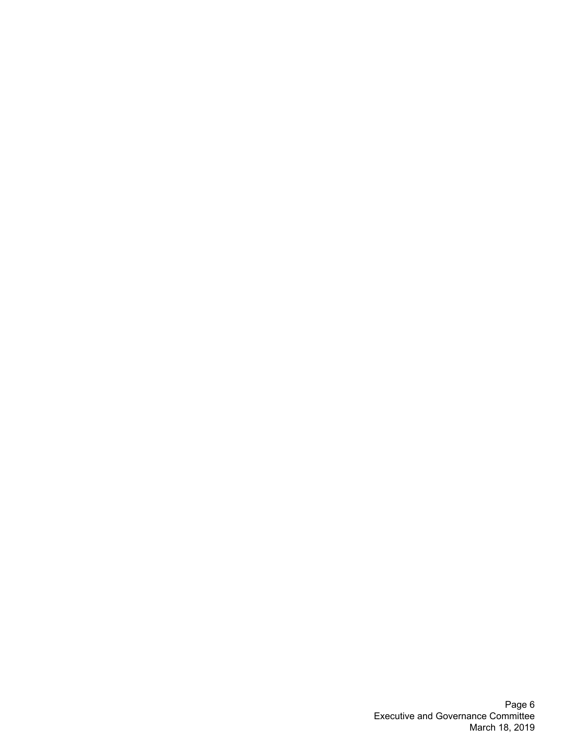Page 6 Executive and Governance Committee March 18, 2019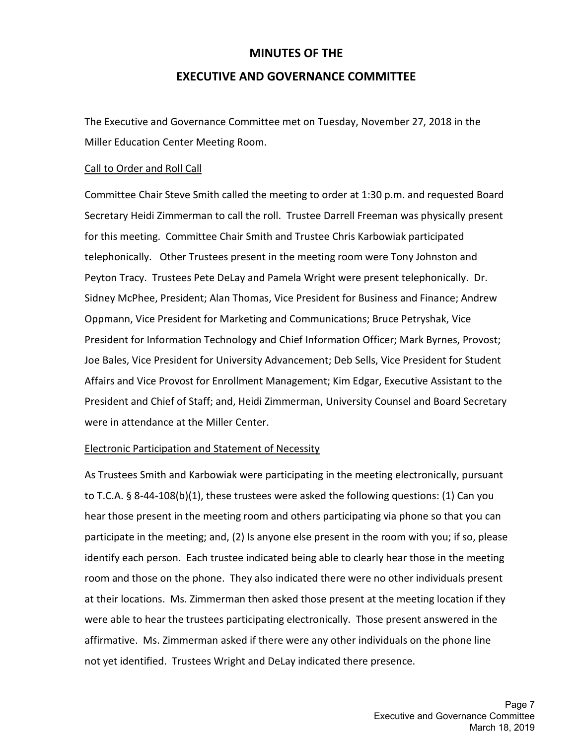#### **MINUTES OF THE**

#### **EXECUTIVE AND GOVERNANCE COMMITTEE**

The Executive and Governance Committee met on Tuesday, November 27, 2018 in the Miller Education Center Meeting Room.

#### Call to Order and Roll Call

Committee Chair Steve Smith called the meeting to order at 1:30 p.m. and requested Board Secretary Heidi Zimmerman to call the roll. Trustee Darrell Freeman was physically present for this meeting. Committee Chair Smith and Trustee Chris Karbowiak participated telephonically. Other Trustees present in the meeting room were Tony Johnston and Peyton Tracy. Trustees Pete DeLay and Pamela Wright were present telephonically. Dr. Sidney McPhee, President; Alan Thomas, Vice President for Business and Finance; Andrew Oppmann, Vice President for Marketing and Communications; Bruce Petryshak, Vice President for Information Technology and Chief Information Officer; Mark Byrnes, Provost; Joe Bales, Vice President for University Advancement; Deb Sells, Vice President for Student Affairs and Vice Provost for Enrollment Management; Kim Edgar, Executive Assistant to the President and Chief of Staff; and, Heidi Zimmerman, University Counsel and Board Secretary were in attendance at the Miller Center.

#### Electronic Participation and Statement of Necessity

As Trustees Smith and Karbowiak were participating in the meeting electronically, pursuant to T.C.A. § 8-44-108(b)(1), these trustees were asked the following questions: (1) Can you hear those present in the meeting room and others participating via phone so that you can participate in the meeting; and, (2) Is anyone else present in the room with you; if so, please identify each person. Each trustee indicated being able to clearly hear those in the meeting room and those on the phone. They also indicated there were no other individuals present at their locations. Ms. Zimmerman then asked those present at the meeting location if they were able to hear the trustees participating electronically. Those present answered in the affirmative. Ms. Zimmerman asked if there were any other individuals on the phone line not yet identified. Trustees Wright and DeLay indicated there presence.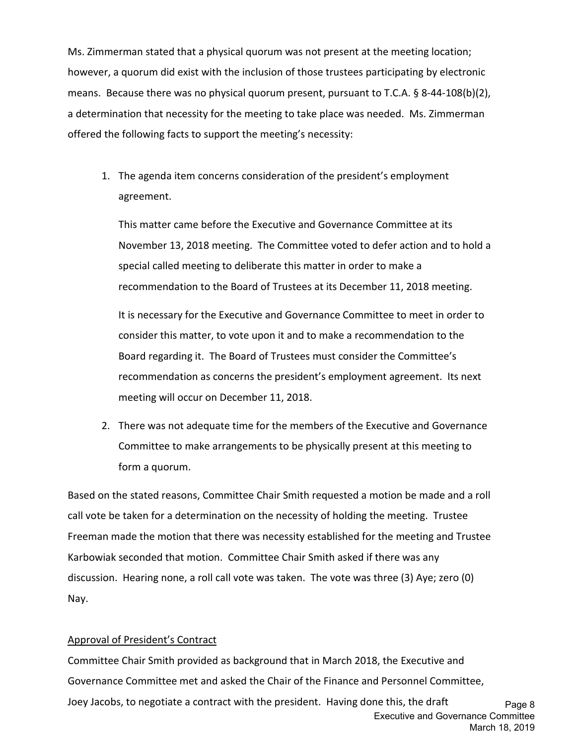Ms. Zimmerman stated that a physical quorum was not present at the meeting location; however, a quorum did exist with the inclusion of those trustees participating by electronic means. Because there was no physical quorum present, pursuant to T.C.A. § 8-44-108(b)(2), a determination that necessity for the meeting to take place was needed. Ms. Zimmerman offered the following facts to support the meeting's necessity:

1. The agenda item concerns consideration of the president's employment agreement.

This matter came before the Executive and Governance Committee at its November 13, 2018 meeting. The Committee voted to defer action and to hold a special called meeting to deliberate this matter in order to make a recommendation to the Board of Trustees at its December 11, 2018 meeting.

It is necessary for the Executive and Governance Committee to meet in order to consider this matter, to vote upon it and to make a recommendation to the Board regarding it. The Board of Trustees must consider the Committee's recommendation as concerns the president's employment agreement. Its next meeting will occur on December 11, 2018.

2. There was not adequate time for the members of the Executive and Governance Committee to make arrangements to be physically present at this meeting to form a quorum.

Based on the stated reasons, Committee Chair Smith requested a motion be made and a roll call vote be taken for a determination on the necessity of holding the meeting. Trustee Freeman made the motion that there was necessity established for the meeting and Trustee Karbowiak seconded that motion. Committee Chair Smith asked if there was any discussion. Hearing none, a roll call vote was taken. The vote was three (3) Aye; zero (0) Nay.

#### Approval of President's Contract

Committee Chair Smith provided as background that in March 2018, the Executive and Governance Committee met and asked the Chair of the Finance and Personnel Committee, Joey Jacobs, to negotiate a contract with the president. Having done this, the draft Page 8 Executive and Governance Committee March 18, 2019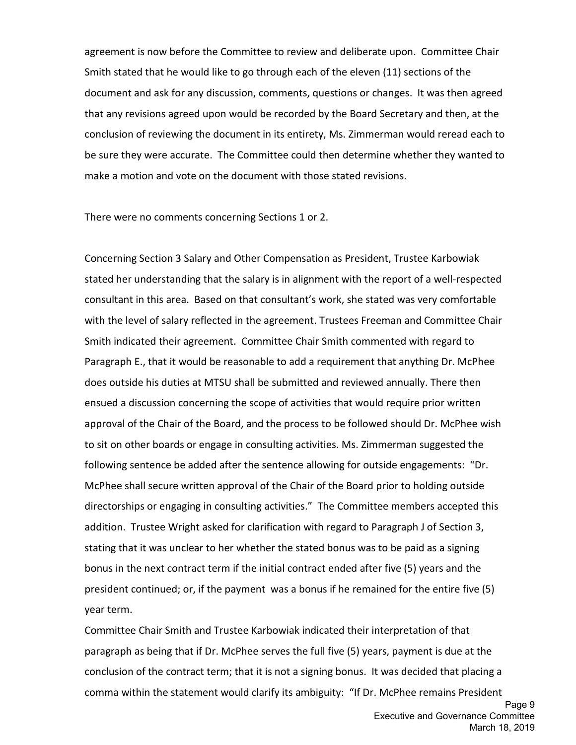agreement is now before the Committee to review and deliberate upon. Committee Chair Smith stated that he would like to go through each of the eleven (11) sections of the document and ask for any discussion, comments, questions or changes. It was then agreed that any revisions agreed upon would be recorded by the Board Secretary and then, at the conclusion of reviewing the document in its entirety, Ms. Zimmerman would reread each to be sure they were accurate. The Committee could then determine whether they wanted to make a motion and vote on the document with those stated revisions.

There were no comments concerning Sections 1 or 2.

Concerning Section 3 Salary and Other Compensation as President, Trustee Karbowiak stated her understanding that the salary is in alignment with the report of a well-respected consultant in this area. Based on that consultant's work, she stated was very comfortable with the level of salary reflected in the agreement. Trustees Freeman and Committee Chair Smith indicated their agreement. Committee Chair Smith commented with regard to Paragraph E., that it would be reasonable to add a requirement that anything Dr. McPhee does outside his duties at MTSU shall be submitted and reviewed annually. There then ensued a discussion concerning the scope of activities that would require prior written approval of the Chair of the Board, and the process to be followed should Dr. McPhee wish to sit on other boards or engage in consulting activities. Ms. Zimmerman suggested the following sentence be added after the sentence allowing for outside engagements: "Dr. McPhee shall secure written approval of the Chair of the Board prior to holding outside directorships or engaging in consulting activities." The Committee members accepted this addition. Trustee Wright asked for clarification with regard to Paragraph J of Section 3, stating that it was unclear to her whether the stated bonus was to be paid as a signing bonus in the next contract term if the initial contract ended after five (5) years and the president continued; or, if the payment was a bonus if he remained for the entire five (5) year term.

Committee Chair Smith and Trustee Karbowiak indicated their interpretation of that paragraph as being that if Dr. McPhee serves the full five (5) years, payment is due at the conclusion of the contract term; that it is not a signing bonus. It was decided that placing a comma within the statement would clarify its ambiguity: "If Dr. McPhee remains President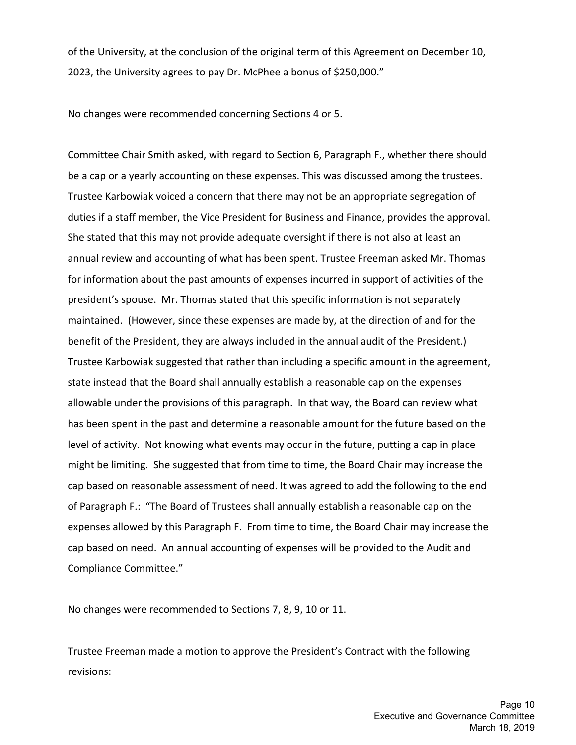of the University, at the conclusion of the original term of this Agreement on December 10, 2023, the University agrees to pay Dr. McPhee a bonus of \$250,000."

No changes were recommended concerning Sections 4 or 5.

Committee Chair Smith asked, with regard to Section 6, Paragraph F., whether there should be a cap or a yearly accounting on these expenses. This was discussed among the trustees. Trustee Karbowiak voiced a concern that there may not be an appropriate segregation of duties if a staff member, the Vice President for Business and Finance, provides the approval. She stated that this may not provide adequate oversight if there is not also at least an annual review and accounting of what has been spent. Trustee Freeman asked Mr. Thomas for information about the past amounts of expenses incurred in support of activities of the president's spouse. Mr. Thomas stated that this specific information is not separately maintained. (However, since these expenses are made by, at the direction of and for the benefit of the President, they are always included in the annual audit of the President.) Trustee Karbowiak suggested that rather than including a specific amount in the agreement, state instead that the Board shall annually establish a reasonable cap on the expenses allowable under the provisions of this paragraph. In that way, the Board can review what has been spent in the past and determine a reasonable amount for the future based on the level of activity. Not knowing what events may occur in the future, putting a cap in place might be limiting. She suggested that from time to time, the Board Chair may increase the cap based on reasonable assessment of need. It was agreed to add the following to the end of Paragraph F.: "The Board of Trustees shall annually establish a reasonable cap on the expenses allowed by this Paragraph F. From time to time, the Board Chair may increase the cap based on need. An annual accounting of expenses will be provided to the Audit and Compliance Committee."

No changes were recommended to Sections 7, 8, 9, 10 or 11.

Trustee Freeman made a motion to approve the President's Contract with the following revisions: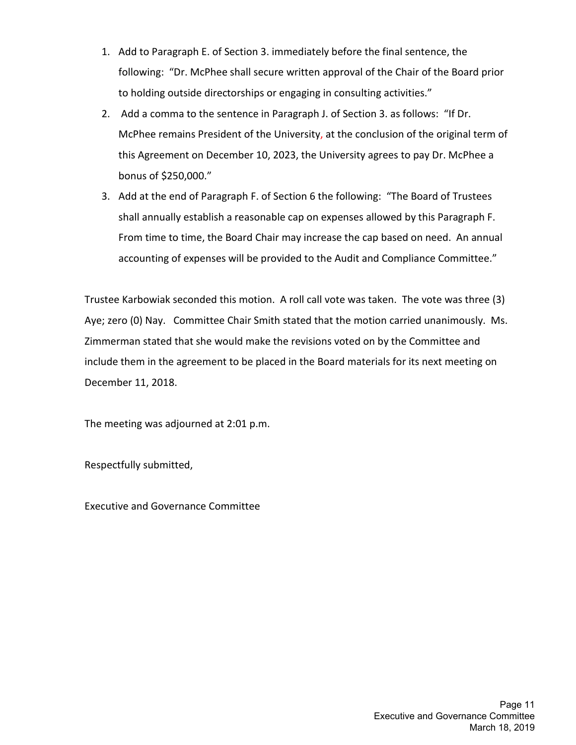- 1. Add to Paragraph E. of Section 3. immediately before the final sentence, the following: "Dr. McPhee shall secure written approval of the Chair of the Board prior to holding outside directorships or engaging in consulting activities."
- 2. Add a comma to the sentence in Paragraph J. of Section 3. as follows: "If Dr. McPhee remains President of the University, at the conclusion of the original term of this Agreement on December 10, 2023, the University agrees to pay Dr. McPhee a bonus of \$250,000."
- 3. Add at the end of Paragraph F. of Section 6 the following: "The Board of Trustees shall annually establish a reasonable cap on expenses allowed by this Paragraph F. From time to time, the Board Chair may increase the cap based on need. An annual accounting of expenses will be provided to the Audit and Compliance Committee."

Trustee Karbowiak seconded this motion. A roll call vote was taken. The vote was three (3) Aye; zero (0) Nay. Committee Chair Smith stated that the motion carried unanimously. Ms. Zimmerman stated that she would make the revisions voted on by the Committee and include them in the agreement to be placed in the Board materials for its next meeting on December 11, 2018.

The meeting was adjourned at 2:01 p.m.

Respectfully submitted,

Executive and Governance Committee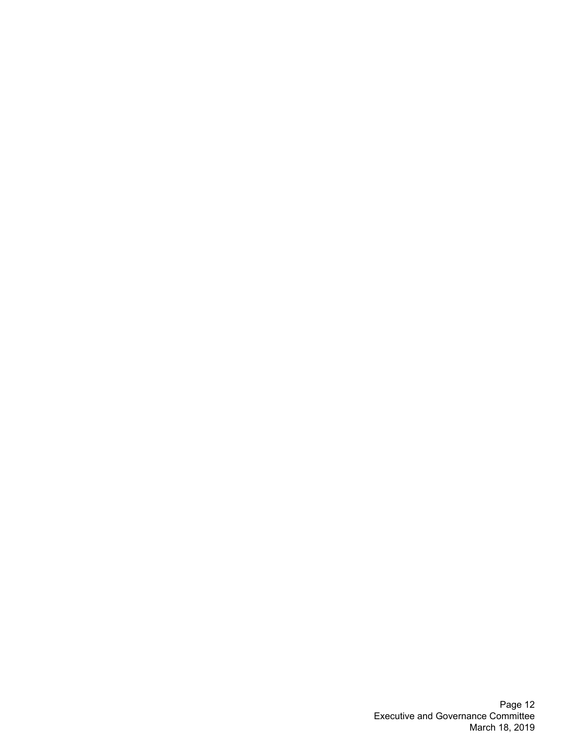Page 12 Executive and Governance Committee March 18, 2019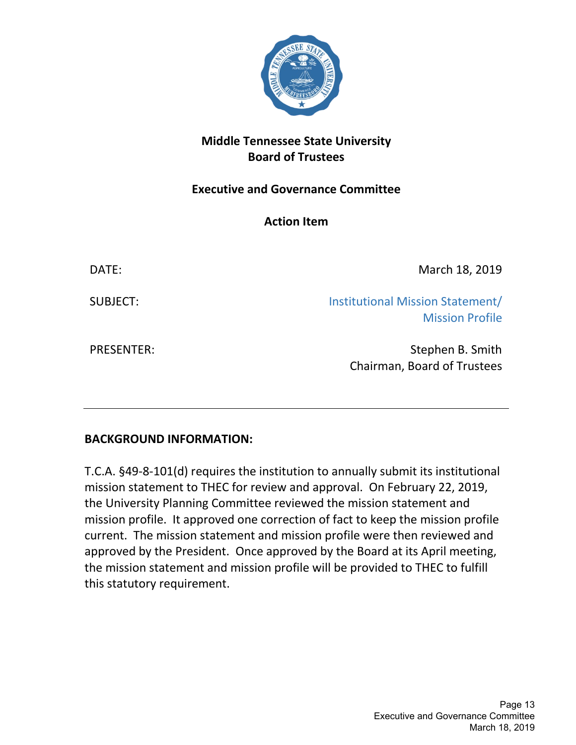

**Executive and Governance Committee**

**Action Item**

| DATE:             | March 18, 2019                                             |
|-------------------|------------------------------------------------------------|
| SUBJECT:          | Institutional Mission Statement/<br><b>Mission Profile</b> |
| <b>PRESENTER:</b> | Stephen B. Smith<br>Chairman, Board of Trustees            |

# **BACKGROUND INFORMATION:**

T.C.A. §49-8-101(d) requires the institution to annually submit its institutional mission statement to THEC for review and approval. On February 22, 2019, the University Planning Committee reviewed the mission statement and mission profile. It approved one correction of fact to keep the mission profile current. The mission statement and mission profile were then reviewed and approved by the President. Once approved by the Board at its April meeting, the mission statement and mission profile will be provided to THEC to fulfill this statutory requirement.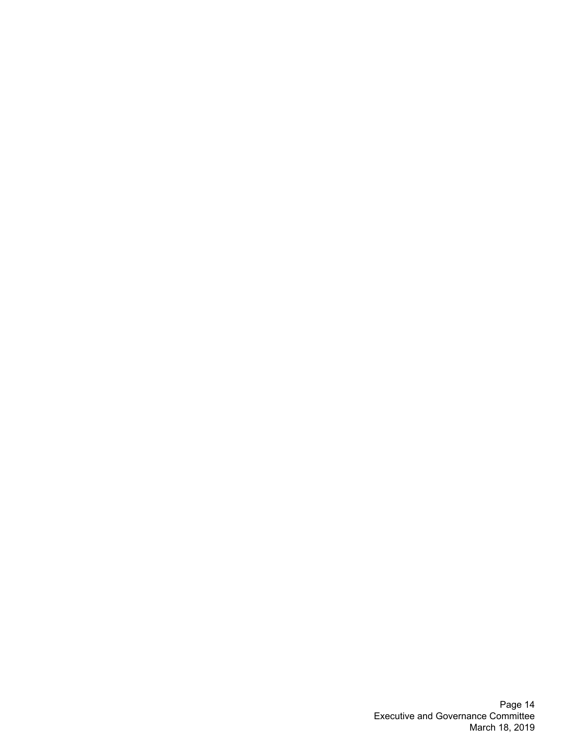Page 14 Executive and Governance Committee March 18, 2019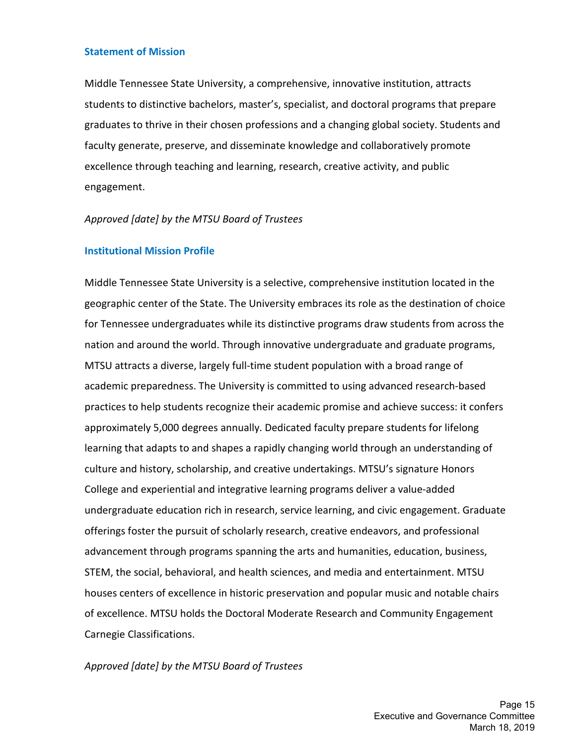#### **Statement of Mission**

Middle Tennessee State University, a comprehensive, innovative institution, attracts students to distinctive bachelors, master's, specialist, and doctoral programs that prepare graduates to thrive in their chosen professions and a changing global society. Students and faculty generate, preserve, and disseminate knowledge and collaboratively promote excellence through teaching and learning, research, creative activity, and public engagement.

#### *Approved [date] by the MTSU Board of Trustees*

#### **Institutional Mission Profile**

Middle Tennessee State University is a selective, comprehensive institution located in the geographic center of the State. The University embraces its role as the destination of choice for Tennessee undergraduates while its distinctive programs draw students from across the nation and around the world. Through innovative undergraduate and graduate programs, MTSU attracts a diverse, largely full-time student population with a broad range of academic preparedness. The University is committed to using advanced research-based practices to help students recognize their academic promise and achieve success: it confers approximately 5,000 degrees annually. Dedicated faculty prepare students for lifelong learning that adapts to and shapes a rapidly changing world through an understanding of culture and history, scholarship, and creative undertakings. MTSU's signature Honors College and experiential and integrative learning programs deliver a value-added undergraduate education rich in research, service learning, and civic engagement. Graduate offerings foster the pursuit of scholarly research, creative endeavors, and professional advancement through programs spanning the arts and humanities, education, business, STEM, the social, behavioral, and health sciences, and media and entertainment. MTSU houses centers of excellence in historic preservation and popular music and notable chairs of excellence. MTSU holds the Doctoral Moderate Research and Community Engagement Carnegie Classifications.

#### *Approved [date] by the MTSU Board of Trustees*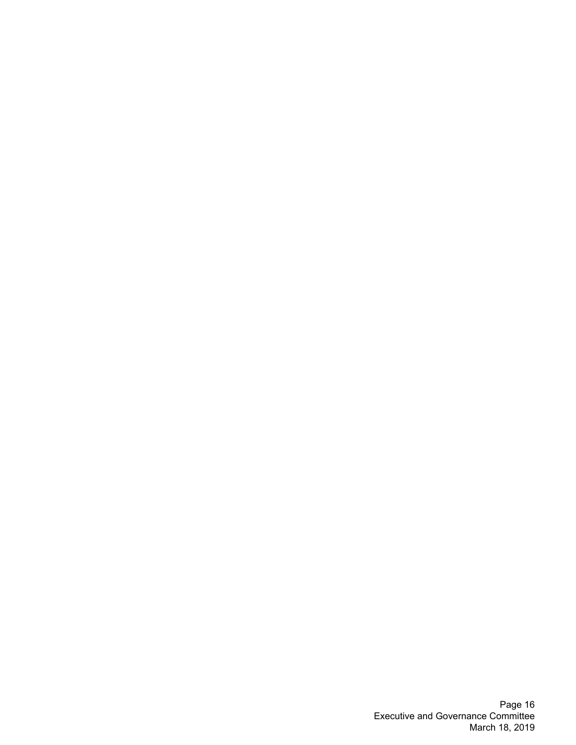Page 16 Executive and Governance Committee March 18, 2019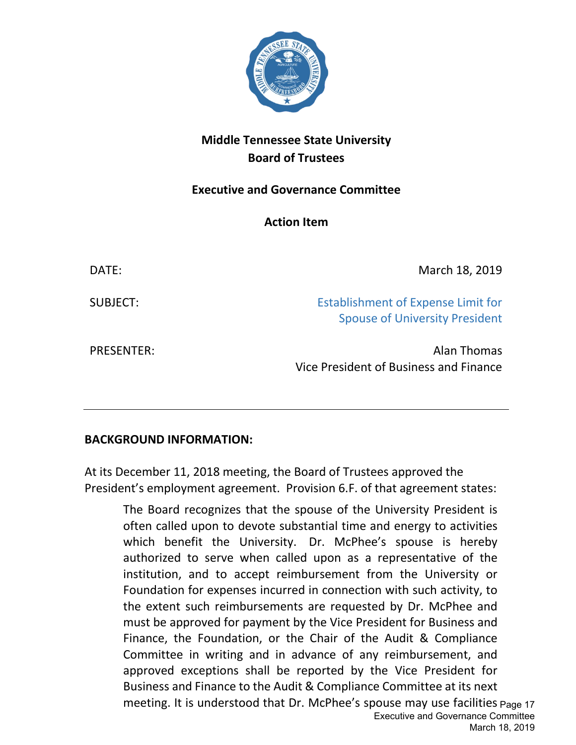

### **Executive and Governance Committee**

**Action Item**

| DATE:             | March 18, 2019                                                                     |
|-------------------|------------------------------------------------------------------------------------|
| SUBJECT:          | <b>Establishment of Expense Limit for</b><br><b>Spouse of University President</b> |
| <b>PRESENTER:</b> | Alan Thomas<br>Vice President of Business and Finance                              |

## **BACKGROUND INFORMATION:**

At its December 11, 2018 meeting, the Board of Trustees approved the President's employment agreement. Provision 6.F. of that agreement states:

The Board recognizes that the spouse of the University President is often called upon to devote substantial time and energy to activities which benefit the University. Dr. McPhee's spouse is hereby authorized to serve when called upon as a representative of the institution, and to accept reimbursement from the University or Foundation for expenses incurred in connection with such activity, to the extent such reimbursements are requested by Dr. McPhee and must be approved for payment by the Vice President for Business and Finance, the Foundation, or the Chair of the Audit & Compliance Committee in writing and in advance of any reimbursement, and approved exceptions shall be reported by the Vice President for Business and Finance to the Audit & Compliance Committee at its next meeting. It is understood that Dr. McPhee's spouse may use facilities <sub>Page 17</sub> Executive and Governance Committee March 18, 2019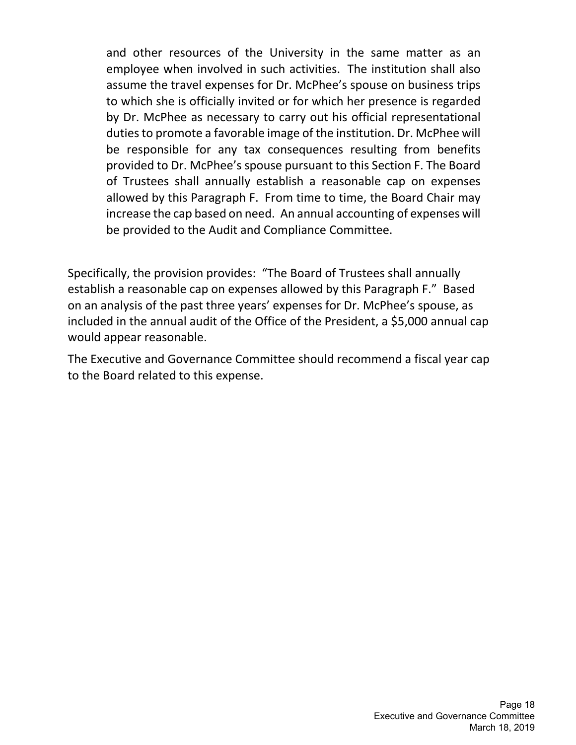and other resources of the University in the same matter as an employee when involved in such activities. The institution shall also assume the travel expenses for Dr. McPhee's spouse on business trips to which she is officially invited or for which her presence is regarded by Dr. McPhee as necessary to carry out his official representational duties to promote a favorable image of the institution. Dr. McPhee will be responsible for any tax consequences resulting from benefits provided to Dr. McPhee's spouse pursuant to this Section F. The Board of Trustees shall annually establish a reasonable cap on expenses allowed by this Paragraph F. From time to time, the Board Chair may increase the cap based on need. An annual accounting of expenses will be provided to the Audit and Compliance Committee.

Specifically, the provision provides: "The Board of Trustees shall annually establish a reasonable cap on expenses allowed by this Paragraph F." Based on an analysis of the past three years' expenses for Dr. McPhee's spouse, as included in the annual audit of the Office of the President, a \$5,000 annual cap would appear reasonable.

The Executive and Governance Committee should recommend a fiscal year cap to the Board related to this expense.